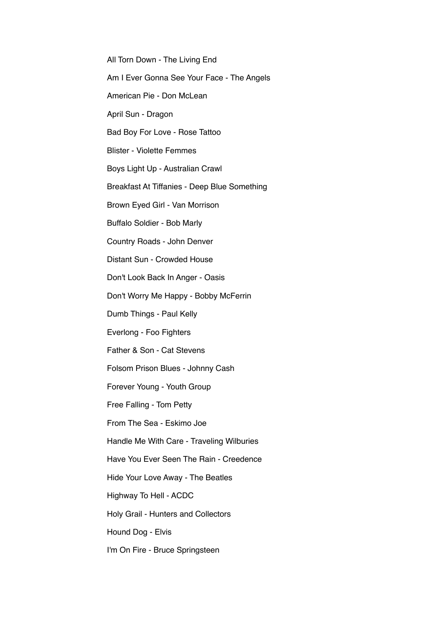All Torn Down - The Living End

Am I Ever Gonna See Your Face - The Angels

American Pie - Don McLean

April Sun - Dragon

Bad Boy For Love - Rose Tattoo

Blister - Violette Femmes

Boys Light Up - Australian Crawl

Breakfast At Tiffanies - Deep Blue Something

Brown Eyed Girl - Van Morrison

Buffalo Soldier - Bob Marly

Country Roads - John Denver

Distant Sun - Crowded House

Don't Look Back In Anger - Oasis

Don't Worry Me Happy - Bobby McFerrin

Dumb Things - Paul Kelly

Everlong - Foo Fighters

Father & Son - Cat Stevens

Folsom Prison Blues - Johnny Cash

Forever Young - Youth Group

Free Falling - Tom Petty

From The Sea - Eskimo Joe

Handle Me With Care - Traveling Wilburies

Have You Ever Seen The Rain - Creedence

Hide Your Love Away - The Beatles

Highway To Hell - ACDC

Holy Grail - Hunters and Collectors

Hound Dog - Elvis

I'm On Fire - Bruce Springsteen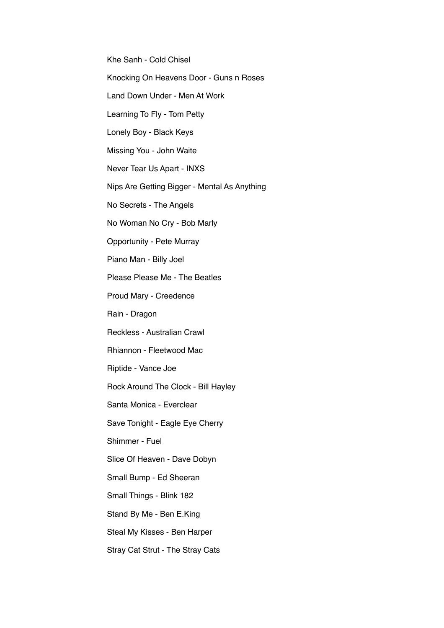Khe Sanh - Cold Chisel

Knocking On Heavens Door - Guns n Roses

Land Down Under - Men At Work

Learning To Fly - Tom Petty

Lonely Boy - Black Keys

Missing You - John Waite

Never Tear Us Apart - INXS

Nips Are Getting Bigger - Mental As Anything

No Secrets - The Angels

No Woman No Cry - Bob Marly

Opportunity - Pete Murray

Piano Man - Billy Joel

Please Please Me - The Beatles

Proud Mary - Creedence

Rain - Dragon

Reckless - Australian Crawl

Rhiannon - Fleetwood Mac

Riptide - Vance Joe

Rock Around The Clock - Bill Hayley

Santa Monica - Everclear

Save Tonight - Eagle Eye Cherry

Shimmer - Fuel

Slice Of Heaven - Dave Dobyn

Small Bump - Ed Sheeran

Small Things - Blink 182

Stand By Me - Ben E.King

Steal My Kisses - Ben Harper

Stray Cat Strut - The Stray Cats